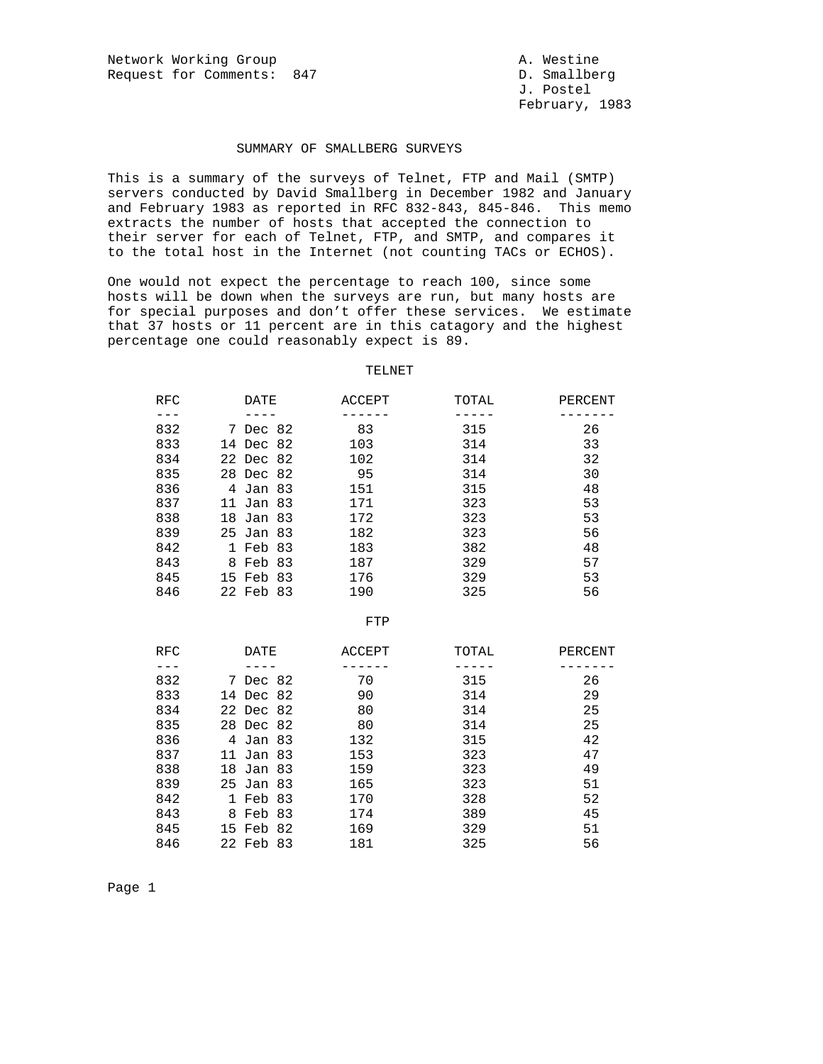## SUMMARY OF SMALLBERG SURVEYS

This is a summary of the surveys of Telnet, FTP and Mail (SMTP) servers conducted by David Smallberg in December 1982 and January and February 1983 as reported in RFC 832-843, 845-846. This memo extracts the number of hosts that accepted the connection to their server for each of Telnet, FTP, and SMTP, and compares it to the total host in the Internet (not counting TACs or ECHOS).

One would not expect the percentage to reach 100, since some hosts will be down when the surveys are run, but many hosts are for special purposes and don't offer these services. We estimate that 37 hosts or 11 percent are in this catagory and the highest percentage one could reasonably expect is 89.

## TELNET

| RFC | DATE      | ACCEPT | TOTAL | PERCENT |
|-----|-----------|--------|-------|---------|
|     |           |        |       |         |
| 832 | 7 Dec 82  | 83     | 315   | 26      |
| 833 | 14 Dec 82 | 103    | 314   | 33      |
| 834 | 22 Dec 82 | 102    | 314   | 32      |
| 835 | 28 Dec 82 | 95     | 314   | 30      |
| 836 | 4 Jan 83  | 151    | 315   | 48      |
| 837 | 11 Jan 83 | 171    | 323   | 53      |
| 838 | 18 Jan 83 | 172    | 323   | 53      |
| 839 | 25 Jan 83 | 182    | 323   | 56      |
| 842 | 1 Feb 83  | 183    | 382   | 48      |
| 843 | 8 Feb 83  | 187    | 329   | 57      |
| 845 | 15 Feb 83 | 176    | 329   | 53      |
| 846 | 22 Feb 83 | 190    | 325   | 56      |
|     |           |        |       |         |
|     |           |        |       |         |

FTP

| <b>RFC</b> |           | DATE     | ACCEPT | TOTAL | PERCENT |
|------------|-----------|----------|--------|-------|---------|
|            |           |          |        |       |         |
| 832        |           | 7 Dec 82 | 70     | 315   | 26      |
| 833        | 14 Dec 82 |          | 90     | 314   | 29      |
| 834        | 22 Dec 82 |          | 80     | 314   | 25      |
| 835        | 28 Dec 82 |          | 80     | 314   | 25      |
| 836        |           | 4 Jan 83 | 132    | 315   | 42      |
| 837        | 11 Jan 83 |          | 153    | 323   | 47      |
| 838        | 18 Jan 83 |          | 159    | 323   | 49      |
| 839        | 25 Jan 83 |          | 165    | 323   | 51      |
| 842        | 1.        | Feb 83   | 170    | 328   | 52      |
| 843        |           | 8 Feb 83 | 174    | 389   | 45      |
| 845        | 15 Feb 82 |          | 169    | 329   | 51      |
| 846        | 22 Feb 83 |          | 181    | 325   | 56      |

Page 1